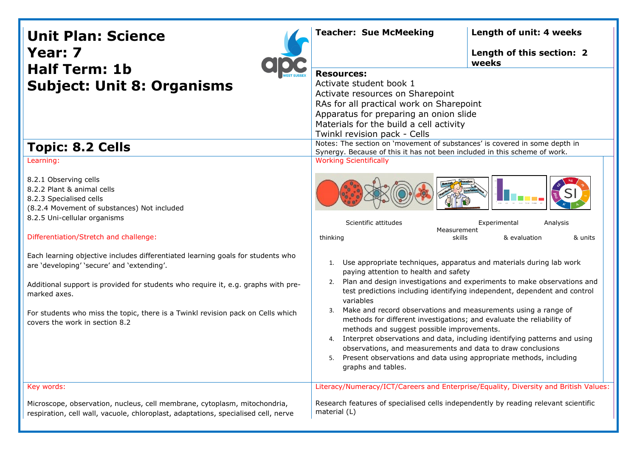| <b>Unit Plan: Science</b><br>Year: 7<br><b>Half Term: 1b</b><br><b>Subject: Unit 8: Organisms</b>                                                                                                                                                                                                                                                                                                                                                                                                                                                                               | <b>Teacher: Sue McMeeking</b>                                                                                                                                                                                                                                                                                                                                                                                                                                                                                                                                                                                                                                                                                                                                                                                                                                                                | Length of unit: 4 weeks<br>Length of this section: 2<br>weeks |
|---------------------------------------------------------------------------------------------------------------------------------------------------------------------------------------------------------------------------------------------------------------------------------------------------------------------------------------------------------------------------------------------------------------------------------------------------------------------------------------------------------------------------------------------------------------------------------|----------------------------------------------------------------------------------------------------------------------------------------------------------------------------------------------------------------------------------------------------------------------------------------------------------------------------------------------------------------------------------------------------------------------------------------------------------------------------------------------------------------------------------------------------------------------------------------------------------------------------------------------------------------------------------------------------------------------------------------------------------------------------------------------------------------------------------------------------------------------------------------------|---------------------------------------------------------------|
|                                                                                                                                                                                                                                                                                                                                                                                                                                                                                                                                                                                 | <b>Resources:</b><br>Activate student book 1<br>Activate resources on Sharepoint<br>RAs for all practical work on Sharepoint<br>Apparatus for preparing an onion slide<br>Materials for the build a cell activity<br>Twinkl revision pack - Cells                                                                                                                                                                                                                                                                                                                                                                                                                                                                                                                                                                                                                                            |                                                               |
| <b>Topic: 8.2 Cells</b>                                                                                                                                                                                                                                                                                                                                                                                                                                                                                                                                                         | Notes: The section on 'movement of substances' is covered in some depth in<br>Synergy. Because of this it has not been included in this scheme of work.                                                                                                                                                                                                                                                                                                                                                                                                                                                                                                                                                                                                                                                                                                                                      |                                                               |
| Learning:<br>8.2.1 Observing cells<br>8.2.2 Plant & animal cells<br>8.2.3 Specialised cells<br>(8.2.4 Movement of substances) Not included<br>8.2.5 Uni-cellular organisms<br>Differentiation/Stretch and challenge:<br>Each learning objective includes differentiated learning goals for students who<br>are 'developing' 'secure' and 'extending'.<br>Additional support is provided for students who require it, e.g. graphs with pre-<br>marked axes.<br>For students who miss the topic, there is a Twinkl revision pack on Cells which<br>covers the work in section 8.2 | <b>Working Scientifically</b><br>Scientific attitudes<br>Analysis<br>Experimental<br>Measurement<br>thinking<br>skills<br>& evaluation<br>& units<br>1. Use appropriate techniques, apparatus and materials during lab work<br>paying attention to health and safety<br>2. Plan and design investigations and experiments to make observations and<br>test predictions including identifying independent, dependent and control<br>variables<br>Make and record observations and measurements using a range of<br>3.<br>methods for different investigations; and evaluate the reliability of<br>methods and suggest possible improvements.<br>Interpret observations and data, including identifying patterns and using<br>4.<br>observations, and measurements and data to draw conclusions<br>5. Present observations and data using appropriate methods, including<br>graphs and tables. |                                                               |
| Key words:                                                                                                                                                                                                                                                                                                                                                                                                                                                                                                                                                                      | Literacy/Numeracy/ICT/Careers and Enterprise/Equality, Diversity and British Values:                                                                                                                                                                                                                                                                                                                                                                                                                                                                                                                                                                                                                                                                                                                                                                                                         |                                                               |
| Microscope, observation, nucleus, cell membrane, cytoplasm, mitochondria,<br>respiration, cell wall, vacuole, chloroplast, adaptations, specialised cell, nerve                                                                                                                                                                                                                                                                                                                                                                                                                 | Research features of specialised cells independently by reading relevant scientific<br>material (L)                                                                                                                                                                                                                                                                                                                                                                                                                                                                                                                                                                                                                                                                                                                                                                                          |                                                               |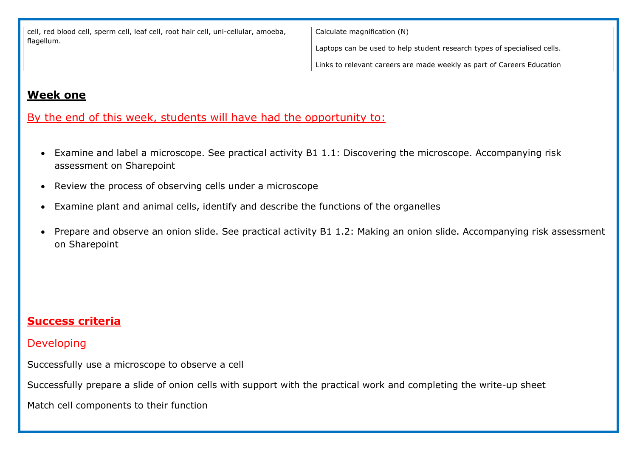cell, red blood cell, sperm cell, leaf cell, root hair cell, uni-cellular, amoeba, flagellum.

Calculate magnification (N)

Laptops can be used to help student research types of specialised cells.

Links to relevant careers are made weekly as part of Careers Education

### **Week one**

# By the end of this week, students will have had the opportunity to:

- Examine and label a microscope. See practical activity B1 1.1: Discovering the microscope. Accompanying risk assessment on Sharepoint
- Review the process of observing cells under a microscope
- Examine plant and animal cells, identify and describe the functions of the organelles
- Prepare and observe an onion slide. See practical activity B1 1.2: Making an onion slide. Accompanying risk assessment on Sharepoint

# **Success criteria**

### Developing

Successfully use a microscope to observe a cell

Successfully prepare a slide of onion cells with support with the practical work and completing the write-up sheet

Match cell components to their function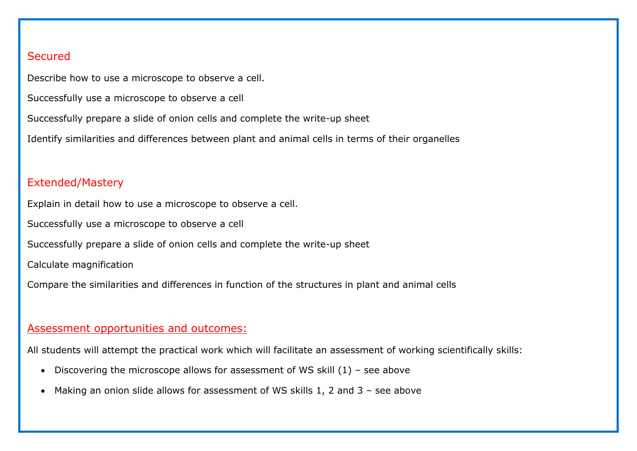### **Secured**

Describe how to use a microscope to observe a cell.

Successfully use a microscope to observe a cell

Successfully prepare a slide of onion cells and complete the write-up sheet

Identify similarities and differences between plant and animal cells in terms of their organelles

### Extended/Mastery

Explain in detail how to use a microscope to observe a cell.

Successfully use a microscope to observe a cell

Successfully prepare a slide of onion cells and complete the write-up sheet

Calculate magnification

Compare the similarities and differences in function of the structures in plant and animal cells

### Assessment opportunities and outcomes:

All students will attempt the practical work which will facilitate an assessment of working scientifically skills:

- Discovering the microscope allows for assessment of WS skill  $(1)$  see above
- Making an onion slide allows for assessment of WS skills 1, 2 and 3 see above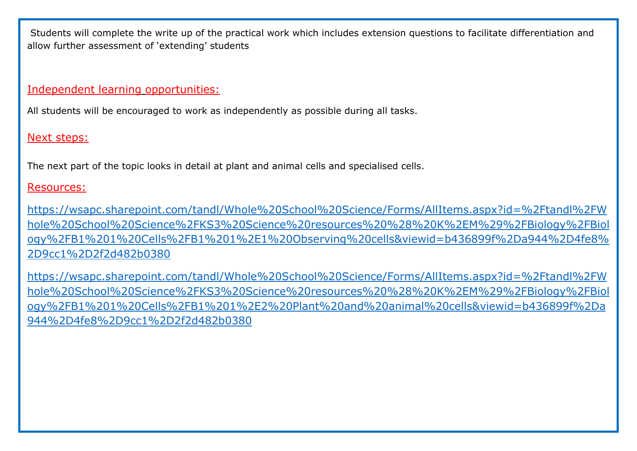Students will complete the write up of the practical work which includes extension questions to facilitate differentiation and allow further assessment of 'extending' students

Independent learning opportunities:

All students will be encouraged to work as independently as possible during all tasks.

Next steps:

The next part of the topic looks in detail at plant and animal cells and specialised cells.

Resources:

[https://wsapc.sharepoint.com/tandl/Whole%20School%20Science/Forms/AllItems.aspx?id=%2Ftandl%2FW](https://wsapc.sharepoint.com/tandl/Whole%20School%20Science/Forms/AllItems.aspx?id=%2Ftandl%2FWhole%20School%20Science%2FKS3%20Science%20resources%20%28%20K%2EM%29%2FBiology%2FBiology%2FB1%201%20Cells%2FB1%201%2E1%20Observing%20cells&viewid=b436899f%2Da944%2D4fe8%2D9cc1%2D2f2d482b0380) [hole%20School%20Science%2FKS3%20Science%20resources%20%28%20K%2EM%29%2FBiology%2FBiol](https://wsapc.sharepoint.com/tandl/Whole%20School%20Science/Forms/AllItems.aspx?id=%2Ftandl%2FWhole%20School%20Science%2FKS3%20Science%20resources%20%28%20K%2EM%29%2FBiology%2FBiology%2FB1%201%20Cells%2FB1%201%2E1%20Observing%20cells&viewid=b436899f%2Da944%2D4fe8%2D9cc1%2D2f2d482b0380) [ogy%2FB1%201%20Cells%2FB1%201%2E1%20Observing%20cells&viewid=b436899f%2Da944%2D4fe8%](https://wsapc.sharepoint.com/tandl/Whole%20School%20Science/Forms/AllItems.aspx?id=%2Ftandl%2FWhole%20School%20Science%2FKS3%20Science%20resources%20%28%20K%2EM%29%2FBiology%2FBiology%2FB1%201%20Cells%2FB1%201%2E1%20Observing%20cells&viewid=b436899f%2Da944%2D4fe8%2D9cc1%2D2f2d482b0380) [2D9cc1%2D2f2d482b0380](https://wsapc.sharepoint.com/tandl/Whole%20School%20Science/Forms/AllItems.aspx?id=%2Ftandl%2FWhole%20School%20Science%2FKS3%20Science%20resources%20%28%20K%2EM%29%2FBiology%2FBiology%2FB1%201%20Cells%2FB1%201%2E1%20Observing%20cells&viewid=b436899f%2Da944%2D4fe8%2D9cc1%2D2f2d482b0380)

[https://wsapc.sharepoint.com/tandl/Whole%20School%20Science/Forms/AllItems.aspx?id=%2Ftandl%2FW](https://wsapc.sharepoint.com/tandl/Whole%20School%20Science/Forms/AllItems.aspx?id=%2Ftandl%2FWhole%20School%20Science%2FKS3%20Science%20resources%20%28%20K%2EM%29%2FBiology%2FBiology%2FB1%201%20Cells%2FB1%201%2E2%20Plant%20and%20animal%20cells&viewid=b436899f%2Da944%2D4fe8%2D9cc1%2D2f2d482b0380) [hole%20School%20Science%2FKS3%20Science%20resources%20%28%20K%2EM%29%2FBiology%2FBiol](https://wsapc.sharepoint.com/tandl/Whole%20School%20Science/Forms/AllItems.aspx?id=%2Ftandl%2FWhole%20School%20Science%2FKS3%20Science%20resources%20%28%20K%2EM%29%2FBiology%2FBiology%2FB1%201%20Cells%2FB1%201%2E2%20Plant%20and%20animal%20cells&viewid=b436899f%2Da944%2D4fe8%2D9cc1%2D2f2d482b0380) [ogy%2FB1%201%20Cells%2FB1%201%2E2%20Plant%20and%20animal%20cells&viewid=b436899f%2Da](https://wsapc.sharepoint.com/tandl/Whole%20School%20Science/Forms/AllItems.aspx?id=%2Ftandl%2FWhole%20School%20Science%2FKS3%20Science%20resources%20%28%20K%2EM%29%2FBiology%2FBiology%2FB1%201%20Cells%2FB1%201%2E2%20Plant%20and%20animal%20cells&viewid=b436899f%2Da944%2D4fe8%2D9cc1%2D2f2d482b0380) [944%2D4fe8%2D9cc1%2D2f2d482b0380](https://wsapc.sharepoint.com/tandl/Whole%20School%20Science/Forms/AllItems.aspx?id=%2Ftandl%2FWhole%20School%20Science%2FKS3%20Science%20resources%20%28%20K%2EM%29%2FBiology%2FBiology%2FB1%201%20Cells%2FB1%201%2E2%20Plant%20and%20animal%20cells&viewid=b436899f%2Da944%2D4fe8%2D9cc1%2D2f2d482b0380)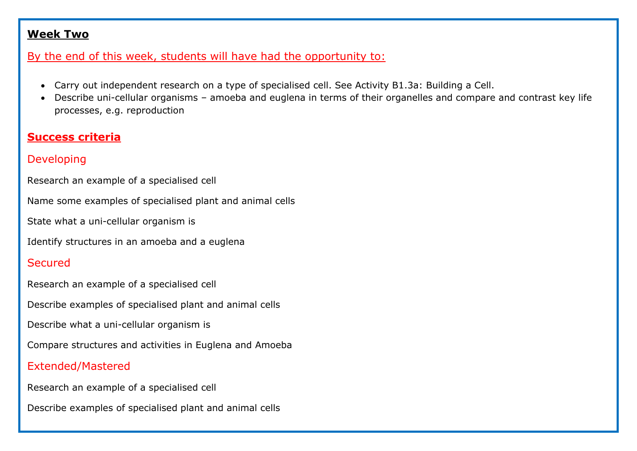### **Week Two**

## By the end of this week, students will have had the opportunity to:

- Carry out independent research on a type of specialised cell. See Activity B1.3a: Building a Cell.
- Describe uni-cellular organisms amoeba and euglena in terms of their organelles and compare and contrast key life processes, e.g. reproduction

# **Success criteria**

# Developing

Research an example of a specialised cell

Name some examples of specialised plant and animal cells

State what a uni-cellular organism is

Identify structures in an amoeba and a euglena

# **Secured**

Research an example of a specialised cell

Describe examples of specialised plant and animal cells

Describe what a uni-cellular organism is

Compare structures and activities in Euglena and Amoeba

# Extended/Mastered

Research an example of a specialised cell

Describe examples of specialised plant and animal cells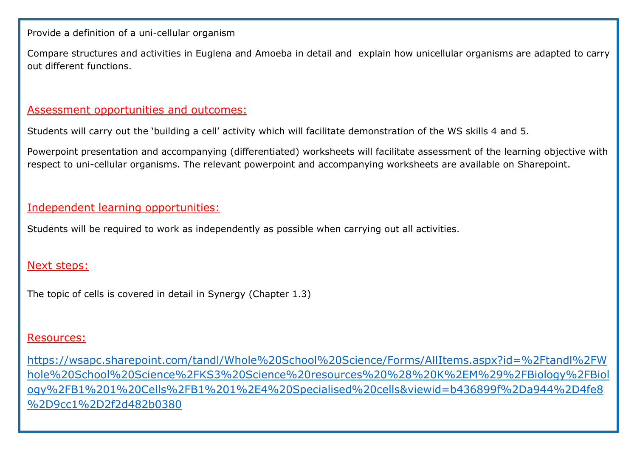Provide a definition of a uni-cellular organism

Compare structures and activities in Euglena and Amoeba in detail and explain how unicellular organisms are adapted to carry out different functions.

#### Assessment opportunities and outcomes:

Students will carry out the 'building a cell' activity which will facilitate demonstration of the WS skills 4 and 5.

Powerpoint presentation and accompanying (differentiated) worksheets will facilitate assessment of the learning objective with respect to uni-cellular organisms. The relevant powerpoint and accompanying worksheets are available on Sharepoint.

## Independent learning opportunities:

Students will be required to work as independently as possible when carrying out all activities.

#### Next steps:

The topic of cells is covered in detail in Synergy (Chapter 1.3)

#### Resources:

[https://wsapc.sharepoint.com/tandl/Whole%20School%20Science/Forms/AllItems.aspx?id=%2Ftandl%2FW](https://wsapc.sharepoint.com/tandl/Whole%20School%20Science/Forms/AllItems.aspx?id=%2Ftandl%2FWhole%20School%20Science%2FKS3%20Science%20resources%20%28%20K%2EM%29%2FBiology%2FBiology%2FB1%201%20Cells%2FB1%201%2E4%20Specialised%20cells&viewid=b436899f%2Da944%2D4fe8%2D9cc1%2D2f2d482b0380) [hole%20School%20Science%2FKS3%20Science%20resources%20%28%20K%2EM%29%2FBiology%2FBiol](https://wsapc.sharepoint.com/tandl/Whole%20School%20Science/Forms/AllItems.aspx?id=%2Ftandl%2FWhole%20School%20Science%2FKS3%20Science%20resources%20%28%20K%2EM%29%2FBiology%2FBiology%2FB1%201%20Cells%2FB1%201%2E4%20Specialised%20cells&viewid=b436899f%2Da944%2D4fe8%2D9cc1%2D2f2d482b0380) [ogy%2FB1%201%20Cells%2FB1%201%2E4%20Specialised%20cells&viewid=b436899f%2Da944%2D4fe8](https://wsapc.sharepoint.com/tandl/Whole%20School%20Science/Forms/AllItems.aspx?id=%2Ftandl%2FWhole%20School%20Science%2FKS3%20Science%20resources%20%28%20K%2EM%29%2FBiology%2FBiology%2FB1%201%20Cells%2FB1%201%2E4%20Specialised%20cells&viewid=b436899f%2Da944%2D4fe8%2D9cc1%2D2f2d482b0380) [%2D9cc1%2D2f2d482b0380](https://wsapc.sharepoint.com/tandl/Whole%20School%20Science/Forms/AllItems.aspx?id=%2Ftandl%2FWhole%20School%20Science%2FKS3%20Science%20resources%20%28%20K%2EM%29%2FBiology%2FBiology%2FB1%201%20Cells%2FB1%201%2E4%20Specialised%20cells&viewid=b436899f%2Da944%2D4fe8%2D9cc1%2D2f2d482b0380)